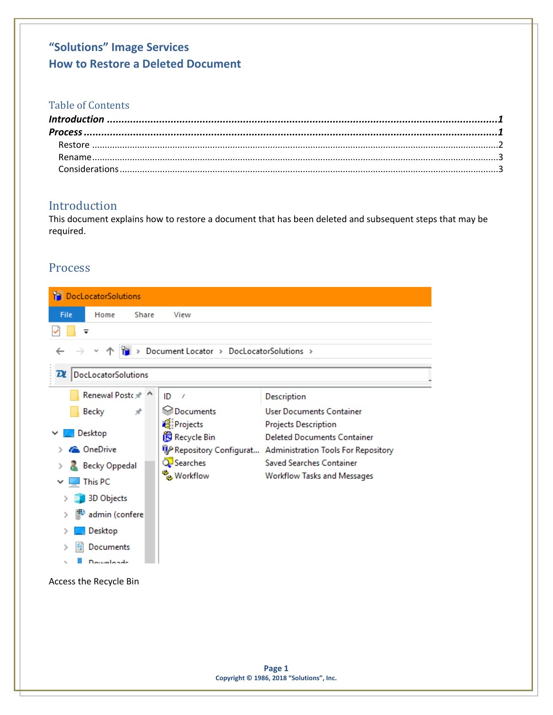# "Solutions" Image Services **How to Restore a Deleted Document**

### **Table of Contents**

## <span id="page-0-0"></span>Introduction

This document explains how to restore a document that has been deleted and subsequent steps that may be required.

### <span id="page-0-1"></span>Process

| <b>DocLocatorSolutions</b>                 |                                                           |                                                           |
|--------------------------------------------|-----------------------------------------------------------|-----------------------------------------------------------|
| Home<br>File<br>Share                      | View                                                      |                                                           |
|                                            |                                                           |                                                           |
|                                            | $\frac{1}{10}$ > Document Locator > DocLocatorSolutions > |                                                           |
| DocLocatorSolutions<br>$\overline{\bm{u}}$ |                                                           |                                                           |
| Renewal Postc * ^                          | ID<br>$\mathcal{I}$                                       | Description                                               |
| <b>Becky</b><br>À                          | ि Documents                                               | <b>User Documents Container</b>                           |
|                                            | Projects                                                  | <b>Projects Description</b>                               |
| Desktop                                    | Recycle Bin                                               | <b>Deleted Documents Container</b>                        |
| <b>C</b> OneDrive                          |                                                           | Repository Configurat Administration Tools For Repository |
| <b>Becky Oppedal</b>                       | Searches                                                  | <b>Saved Searches Container</b>                           |
| This PC                                    | ိမ္တ Workflow                                             | <b>Workflow Tasks and Messages</b>                        |
| 3D Objects                                 |                                                           |                                                           |
| admin (confere                             |                                                           |                                                           |
| Desktop                                    |                                                           |                                                           |
| Documents                                  |                                                           |                                                           |
| Downloads                                  |                                                           |                                                           |
| Access the Recycle Bin                     |                                                           |                                                           |
|                                            |                                                           |                                                           |
|                                            |                                                           |                                                           |
|                                            |                                                           |                                                           |
|                                            |                                                           |                                                           |
|                                            |                                                           |                                                           |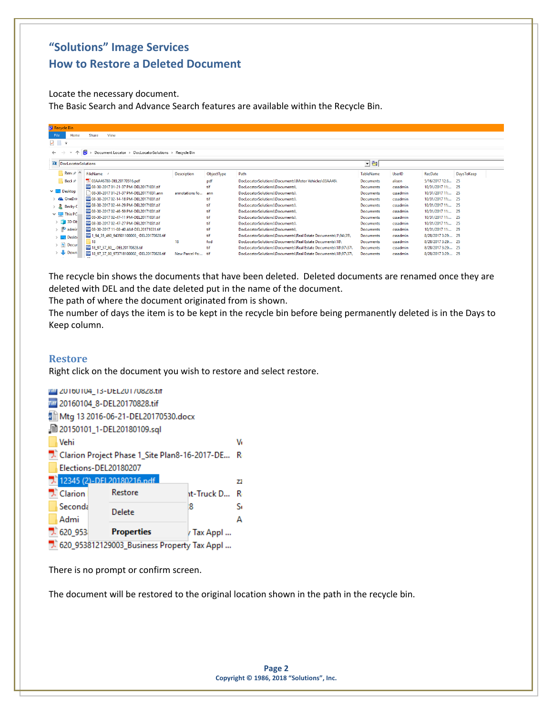## **"Solutions" Image Services How to Restore a Deleted Document**

Locate the necessary document. The Basic Search and Advance Search features are available within the Recycle Bin.

| Recycle Bin                   |                                                      |                    |            |                                                               |                  |          |                    |            |  |
|-------------------------------|------------------------------------------------------|--------------------|------------|---------------------------------------------------------------|------------------|----------|--------------------|------------|--|
| Home<br>File                  | Share<br>View                                        |                    |            |                                                               |                  |          |                    |            |  |
| $\sqrt{2}$ $\sqrt{2}$         |                                                      |                    |            |                                                               |                  |          |                    |            |  |
| 个                             | Document Locator > DocLocatorSolutions > Recycle Bin |                    |            |                                                               |                  |          |                    |            |  |
|                               |                                                      |                    |            |                                                               |                  |          |                    |            |  |
| DecLocatorSolutions           |                                                      |                    |            |                                                               | 그럼               |          |                    |            |  |
| Ren $\epsilon$ <sup>+</sup>   | FileName                                             | <b>Description</b> | ObjectType | Path                                                          | <b>TableName</b> | UserID   | RecDate            | DaysToKeep |  |
| Beck *                        | 7.03AA46780-DEL20170516.pdf                          |                    | pdf        | DocLocatorSolutions\Documents\Motor Vehicles\03AA46\          | Documents        | alison   | 5/16/2017 12:3     | -25        |  |
|                               | 777 08-30-2017 01-21-37 PM-DEL20171031.tif           |                    | tif        | DocLocatorSolutions\Documents\                                | <b>Documents</b> | cssadmin | 10/31/2017 11:     | - 25       |  |
| $\vee$ $\Box$ Desktop         | 08-30-2017 01-21-37 PM-DEL20171031.ann               | annotations fo     | ann        | DocLocatorSolutions\Documents\                                | <b>Documents</b> | cssadmin | 10/31/2017 11:     | - 25       |  |
| <b>C</b> OneDriv              | 777 08-30-2017 02-14-18 PM-DEL20171031.tif           |                    | tif        | DocLocatorSolutions\Documents\                                | <b>Documents</b> | cssadmin | 10/31/2017 11:     | - 25       |  |
| $> 2$ Becky C                 | 777 08-30-2017 02-44-29 PM-DEL20171031.tif           |                    | tif        | DocLocatorSolutions\Documents\                                | Documents        | cssadmin | 10/31/2017 11:     | - 25       |  |
| $\vee$ $\Box$ This PC         | 777 08-30-2017 02-46-59 PM-DEL20171031.tif           |                    | tif        | DocLocatorSolutions\Documents\                                | Documents        | cssadmin | 10/31/2017 11:     | - 25       |  |
|                               | 777 08-30-2017 02-47-11 PM-DEL20171031.tif           |                    | tif        | DocLocatorSolutions\Documents\                                | <b>Documents</b> | cssadmin | 10/31/2017 11:     | -25        |  |
| $\frac{1}{2}$ 3D Ob           | 777 08-30-2017 02-47-27 PM-DEL20171031.tif           |                    | tif        | DocLocatorSolutions\Documents\                                | <b>Documents</b> | cssadmin | 10/31/2017 11:     | - 25       |  |
| admir                         | 77 08-30-2017 11-08-40 AM-DEL20171031.tif            |                    | tif        | DocLocatorSolutions\Documents\                                | <b>Documents</b> | cssadmin | 10/31/2017 11:     | -25        |  |
| Deskti                        | 777 1_94_35_460_943501100003_-DEL20170828.tif        |                    | tif        | DocLocatorSolutions\Documents\Real Estate Documents\1\94\35\  | <b>Documents</b> | cssadmin | 8/28/2017 3:29: 25 |            |  |
|                               | 18                                                   | 18                 | fod        | DocLocatorSolutions\Documents\Real Estate Documents\18\       | <b>Documents</b> | cssadmin | 8/28/2017 3:29: 25 |            |  |
| $\angle$ $\blacksquare$ Docur | THE 18_97_37_80__-DEL20170828.tif                    |                    | tif        | DocLocatorSolutions\Documents\Real Estate Documents\18\97\37\ | <b>Documents</b> | cssadmin | 8/28/2017 3:29: 25 |            |  |
| Down                          | THE 18_97_37_80_973718100002_-DEL20170828.tif        | New Parcel #s:     | +if        | DocLocatorSolutions\Documents\Real Estate Documents\18\97\37\ | <b>Documents</b> | cssadmin | 8/28/2017 3:29: 25 |            |  |

The recycle bin shows the documents that have been deleted. Deleted documents are renamed once they are deleted with DEL and the date deleted put in the name of the document.

The path of where the document originated from is shown.

The number of days the item is to be kept in the recycle bin before being permanently deleted is in the Days to Keep column.

#### <span id="page-1-0"></span>**Restore**

Right click on the document you wish to restore and select restore.



There is no prompt or confirm screen.

The document will be restored to the original location shown in the path in the recycle bin.